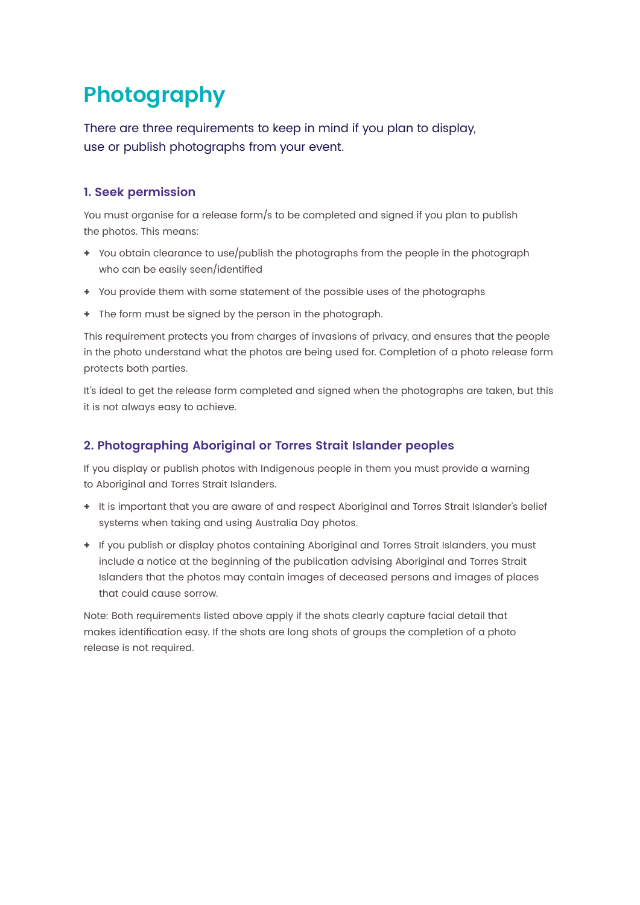# **Photography**

There are three requirements to keep in mind if you plan to display, use or publish photographs from your event.

## **1. Seek permission**

You must organise for a release form/s to be completed and signed if you plan to publish the photos. This means:

- **+** You obtain clearance to use/publish the photographs from the people in the photograph who can be easily seen/identified
- **+** You provide them with some statement of the possible uses of the photographs
- **+** The form must be signed by the person in the photograph.

This requirement protects you from charges of invasions of privacy, and ensures that the people in the photo understand what the photos are being used for. Completion of a photo release form protects both parties.

It's ideal to get the release form completed and signed when the photographs are taken, but this it is not always easy to achieve.

### **2. Photographing Aboriginal or Torres Strait Islander peoples**

If you display or publish photos with Indigenous people in them you must provide a warning to Aboriginal and Torres Strait Islanders.

- **+** It is important that you are aware of and respect Aboriginal and Torres Strait Islander's belief systems when taking and using Australia Day photos.
- **+** If you publish or display photos containing Aboriginal and Torres Strait Islanders, you must include a notice at the beginning of the publication advising Aboriginal and Torres Strait Islanders that the photos may contain images of deceased persons and images of places that could cause sorrow.

Note: Both requirements listed above apply if the shots clearly capture facial detail that makes identification easy. If the shots are long shots of groups the completion of a photo release is not required.